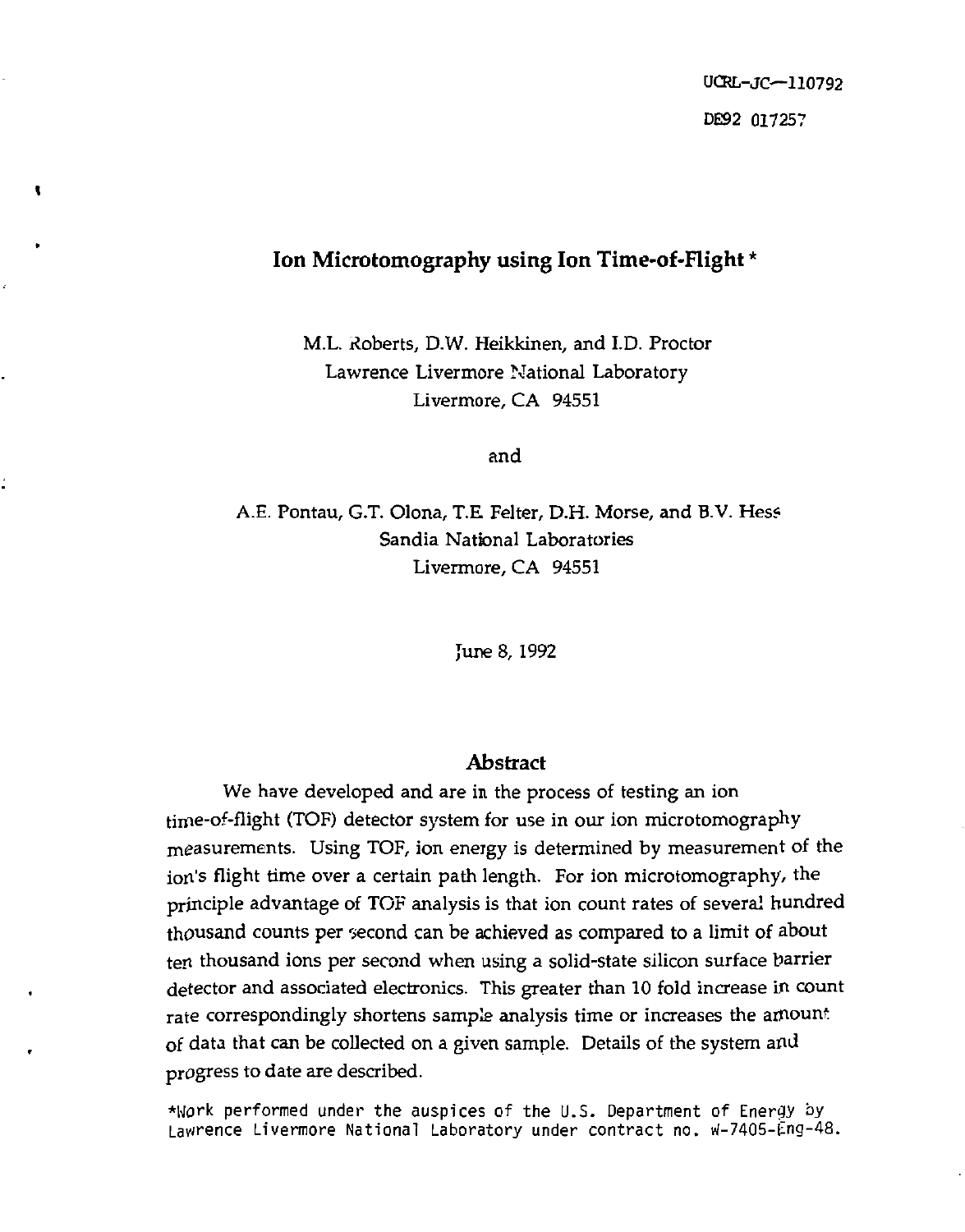UCRL-JC—110792 DE92 017257

# **Ion Microtomography using Ion Time-of-Flight** \*

M.L. Roberts, D.W. Heikkinen, and I.D. Proctor Lawrence Livermore National Laboratory Livermore, CA 94551

and

A.E. Pontau, G.T. Olona, T.E. Felter, D.H. Morse, and B.V. Hess Sandia National Laboratories Livermore, CA 94551

June 8, 1992

### **Abstract**

We have developed and are in the process of testing an ion time-of-flight (TOF) detector system for use in our ion microtomography measurements. Using TOF, ion energy is determined by measurement of the ion's flight time over a certain path length. For ion microtomography, the principle advantage of TOF analysis is that ion count rates of several hundred thousand counts per •second can be achieved as compared to a limit of about ten thousand ions per second when using a solid-state silicon surface barrier detector and associated electronics. This greater than 10 fold increase in count rate correspondingly shortens sample analysis time or increases the amount of data that can be collected on a given sample. Details of the system and progress to date are described.

\*Uork performed under the auspices of the U.S. Department of Energy by Lawrence Livermore National Laboratory under contract no. W-7405-Eng-48.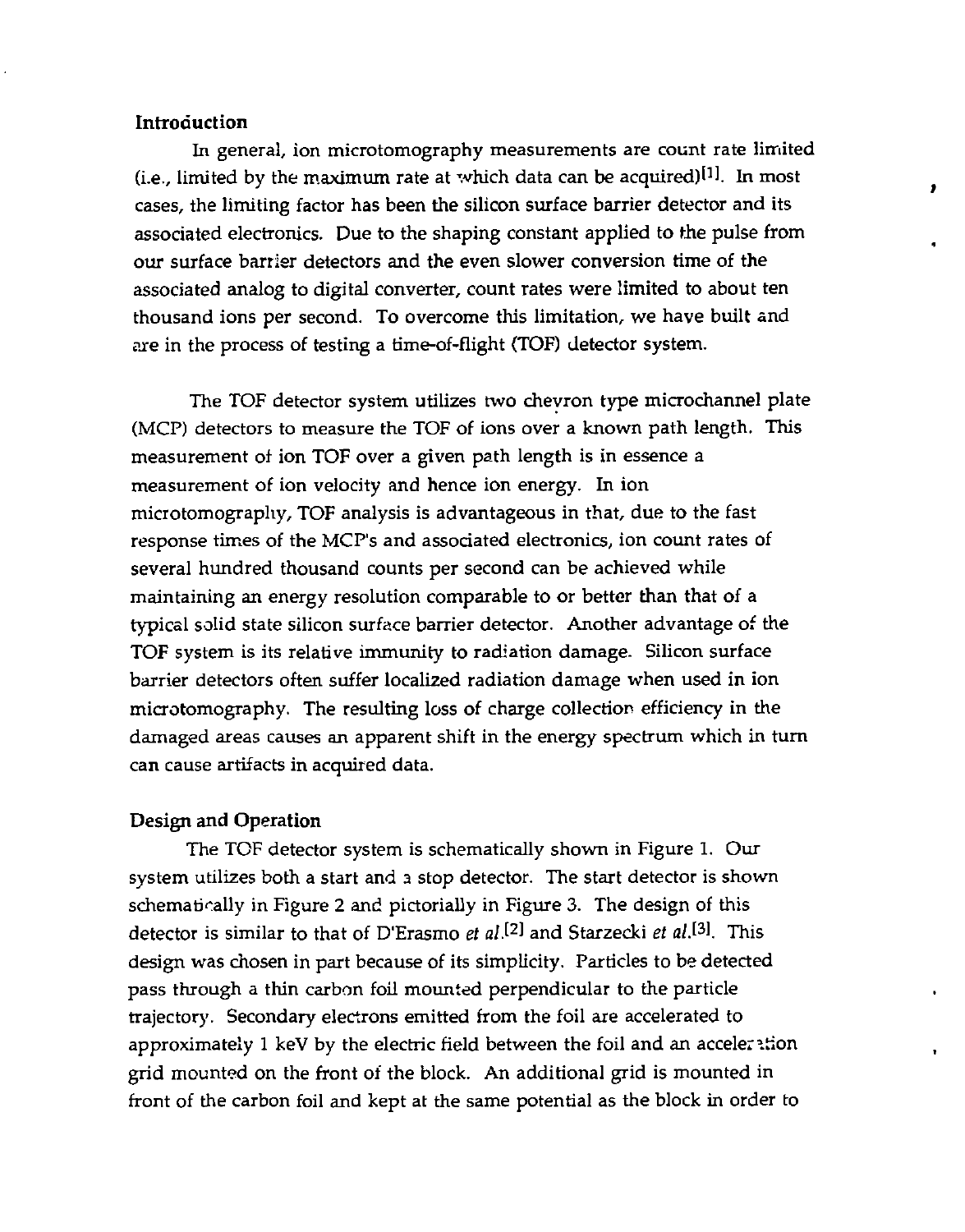#### Introduction

In general, ion microtomography measurements are count rate limited (i.e., limited by the maximum rate at which data can be acquired)!<sup>1</sup> !. In most cases, the limiting factor has been the silicon surface barrier detector and its associated electronics. Due to the shaping constant applied to the pulse from our surface barrier detectors and the even slower conversion time of the associated analog to digital converter, count rates were limited to about ten thousand ions per second. To overcome this limitation, we have built and are in the process of testing a time-of-flight (TOF) detector system.

 $\mathbf{r}$ 

The TOF detector system utilizes two chevron type microchannel plate (MCP) detectors to measure the TOF of ions over a known path length. This measurement of ion TOF over a given path length is in essence a measurement of ion velocity and hence ion energy. In ion miciotomography, TOF analysis is advantageous in that, due to the fast response times of the MCP's and associated electronics, ion count rates of several hundred thousand counts per second can be achieved while maintaining an energy resolution comparable to or better than that of a typical solid state silicon surface barrier detector. Another advantage of the TOF system is its relative immunity to radiation damage. Silicon surface barrier detectors often suffer localized radiation damage when used in ion microtomography. The resulting loss of charge collection efficiency in the damaged areas causes an apparent shift in the energy spectrum which in turn can cause artifacts in acquired data.

#### Design and Operation

The TOF detector system is schematically shown in Figure 1. Our system utilizes both a start and a stop detector. The start detector is shown schematically in Figure 2 and pictorially in Figure 3. The design of this detector is similar to that of D'Erasmo *et al*.<sup>[2]</sup> and Starzecki *et al*.<sup>[3]</sup>. This design was chosen in part because of its simplicity. Particles to be detected pass through a thin carbon foil mounted perpendicular to the particle trajectory. Secondary electrons emitted from the foil are accelerated to approximately  $1$  keV by the electric field between the foil and an acceleration grid mounted on the front of the block. An additional grid is mounted in front of the carbon foil and kept at the same potential as the block in order to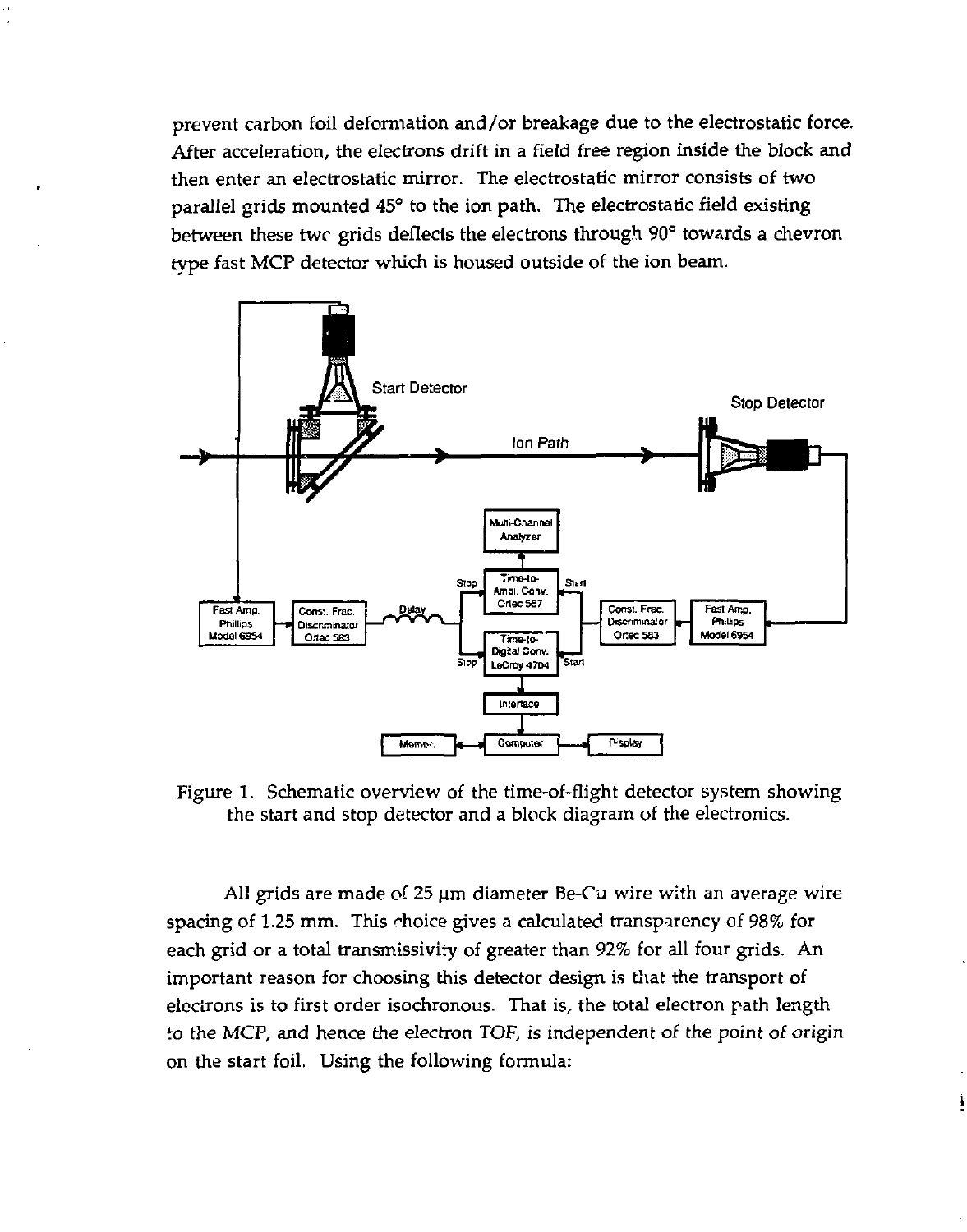prevent carbon foil deformation and/or breakage due to the electrostatic force. After acceleration, the electrons drift in a field free region inside the block and then enter an electrostatic mirror. The electrostatic mirror consists of two parallel grids mounted 45° to the ion path. The electrostatic field existing between these twc grids deflects the electrons through 90° towards a chevron type fast MCP detector which is housed outside of the ion beam.



Figure 1. Schematic overview of the time-of-flight detector system showing the start and stop detector and a block diagram of the electronics.

All grids are made of  $25 \mu m$  diameter Be-Cu wire with an average wire spacing of 1.25 mm. This choice gives a calculated transparency cf 98% for each grid or a total transmissivity of greater than 92% for all four grids. An important reason for choosing this detector design is that the transport of electrons is to first order isochronous. That is, the total electron path length to the MCP, and hence the electron TOF, is independent of the point of origin on the start foil. Using the following formula: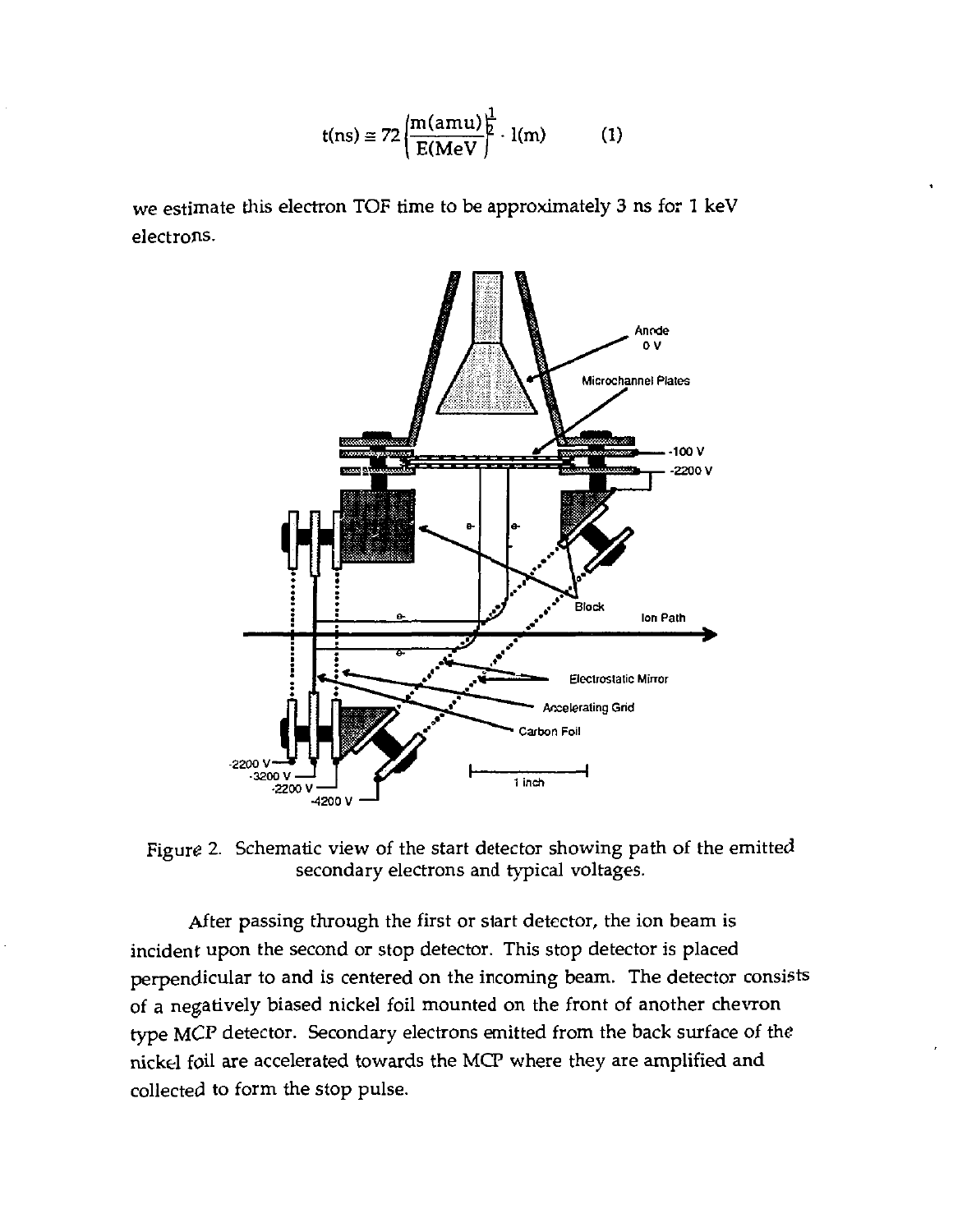$$
t(ns) \equiv 72 \left( \frac{m(amu)^{\frac{1}{2}}}{E(MeV)} \cdot l(m) \right) \tag{1}
$$

we estimate this electron TOF time to be approximately 3 ns for 1 keV electrons.



Figure 2. Schematic view of the start detector showing path of the emitted secondary electrons and typical voltages.

After passing through the first or slart detector, the ion beam is incident upon the second or stop detector. This stop detector is placed perpendicular to and is centered on the incoming beam. The detector consists of a negatively biased nickel foil mounted on the front of another chevron type MCP detector. Secondary electrons emitted from the back surface of the nickel foil are accelerated towards the MCP where they are amplified and collected to form the stop pulse.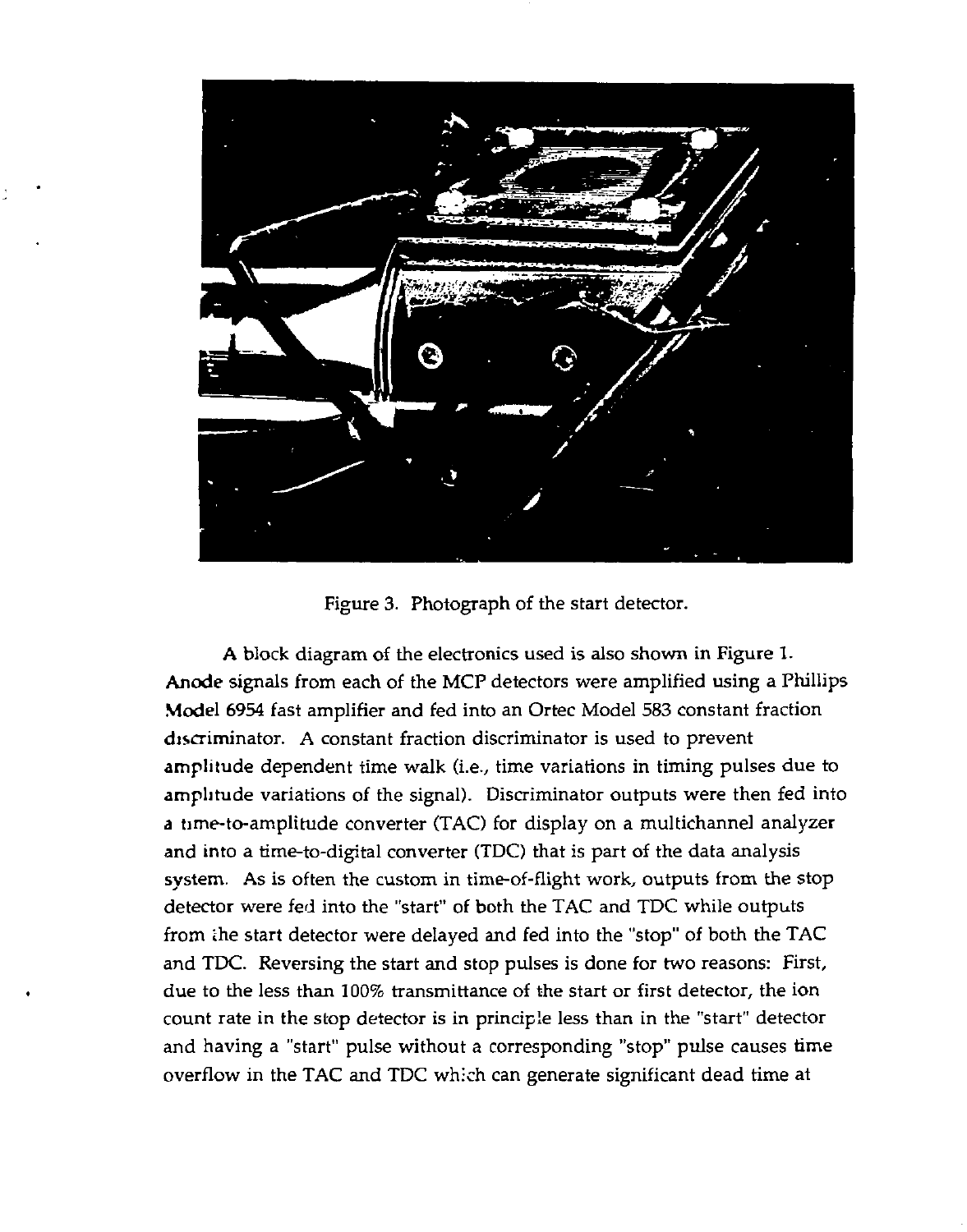

Figure 3. Photograph of the start detector.

A block diagram of the electronics used is also shown in Figure 1. Anode signals from each of the MCP detectors were amplified using a Phillips Model 6954 fast amplifier and fed into an Ortec Model 583 constant fraction discriminator. A constant fraction discriminator is used to prevent amplitude dependent time walk (i.e., time variations in timing pulses due to amplitude variations of the signal). Discriminator outputs were then fed into *a* time-to-amplitude converter (TAC) for display on a multichannel analyzer and into a time-to-digital converter (TDC) that is part of the data analysis system. As is often the custom in time-of-flight work, outputs from the stop detector were fed into the "start" of both the TAC and TDC while outputs from ihe start detector were delayed and fed into the "stop" of both the TAC and TDC. Reversing the start and stop pulses is done for two reasons: First, due to the less than 100% transmittance of the start or first detector, the ion count rate in the stop detector is in principle less than in the "start" detector and having a "start" pulse without a corresponding "stop" pulse causes time overflow in the TAC and TDC which can generate significant dead time at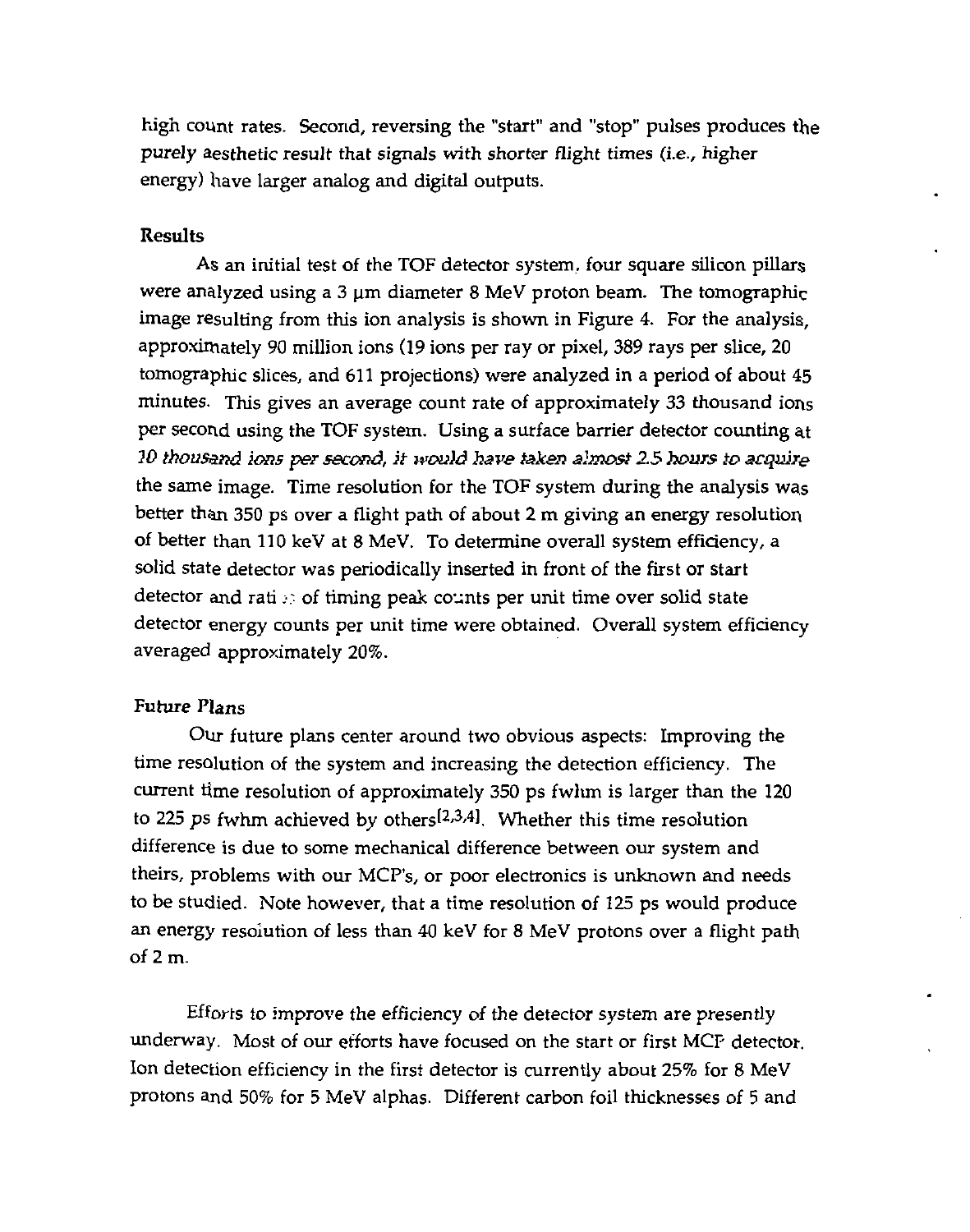high count rates. Second, reversing the "start" and "stop" pulses produces the purely aesthetic result that signals with shorter flight times (i.e., higher energy) have larger analog and digital outputs.

# Results

As an initial test of the TOF detector system, four square silicon pillars were analyzed using a 3 um diameter 8 MeV proton beam. The tomographic image resulting from this ion analysis is shown in Figure 4. For the analysis, approximately 90 million ions (19 ions per ray or pixel, 389 rays per slice, 20 tomographic slices, and 611 projections) were analyzed in a period of about 45 minutes. This gives an average count rate of approximately 33 thousand ions per second using the TOF system. Using a surface barrier detector counting at *10 thousand ions per second, it would have taken almost 2.5 hours to acquire*  the same image. Time resolution for the TOF system during the analysis was better than 350 ps over a flight path of about 2 m giving an energy resolution of better than 110 keV at 8 MeV. To determine overall system efficiency, a solid state detector was periodically inserted in front of the first or start detector and rati ;•; of timing peak counts per unit time over solid state detector energy counts per unit time were obtained. Overall system efficiency averaged approximately 20%.

# Future Plans

Our future plans center around two obvious aspects: Improving the time resolution of the system and increasing the detection efficiency. The current time resolution of approximately 350 ps fwhm is larger than the 120 to 225 ps fwhm achieved by others $[2,3,4]$ . Whether this time resolution difference is due to some mechanical difference between our system and theirs, problems with our MCP's, or poor electronics is unknown and needs to be studied. Note however, that a time resolution of 125 ps would produce an energy resolution of less than 40 keV for 8 MeV protons over a flight path of 2 m.

Efforts to improve the efficiency of the detector system are presently underway. Most of our efforts have focused on the start or first MCF detector. Ion detection efficiency in the first detector is currently about 25% for 8 MeV protons and 50% for 5 MeV alphas. Different carbon foil thicknesses of 5 and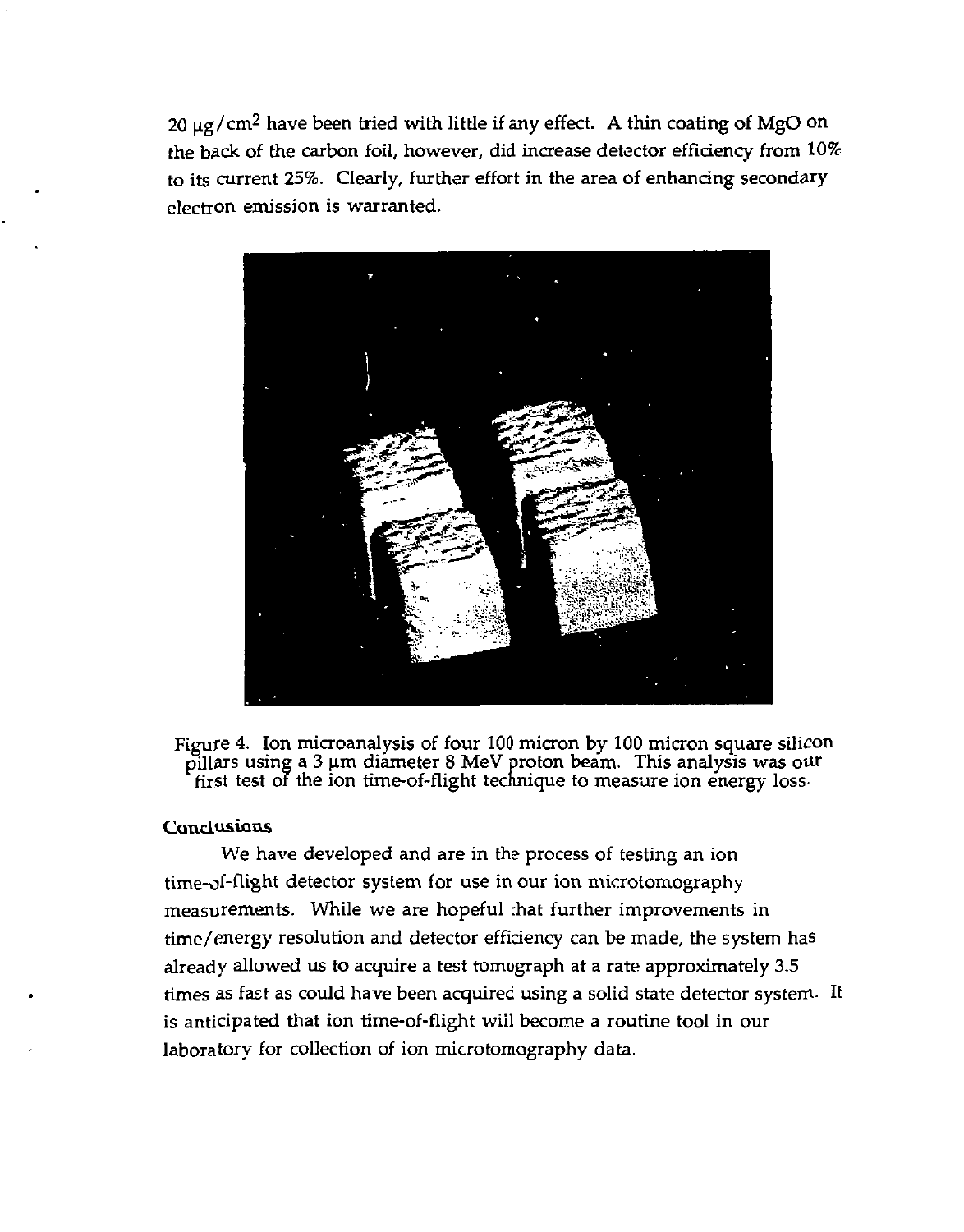$20 \mu$ g/cm<sup>2</sup> have been tried with little if any effect. A thin coating of MgO on the back of the carbon foil, however, did increase detector efficiency from  $10\%$ to its current 25%. Clearly, further effort in the area of enhancing secondary electron emission is warranted.



Figure 4. Ion microanalysis of four 100 micron by 100 micron square silicon pillars using a 3 am diameter 8 MeV proton beam. This analysis was our<br>Liset toot of the ion time of flight technique to moseure ion energy loce first test of the ion time-of-flight technique to measure ion energy loss-

## Conclusions

We have developed and are in the process of testing an ion time-of-flight detector system for use in our ion microtomography measurements. While we are hopeful :hat further improvements in time/energy resolution and detector efficiency can be made, the system has already allowed us to acquire a test tomograph at a rate approximately 3.5 times as fast as could have been acquired using a solid state detector system. It is anticipated that ion time-of-flight will become a routine tool in our laboratory for collection of ion microtomography data.